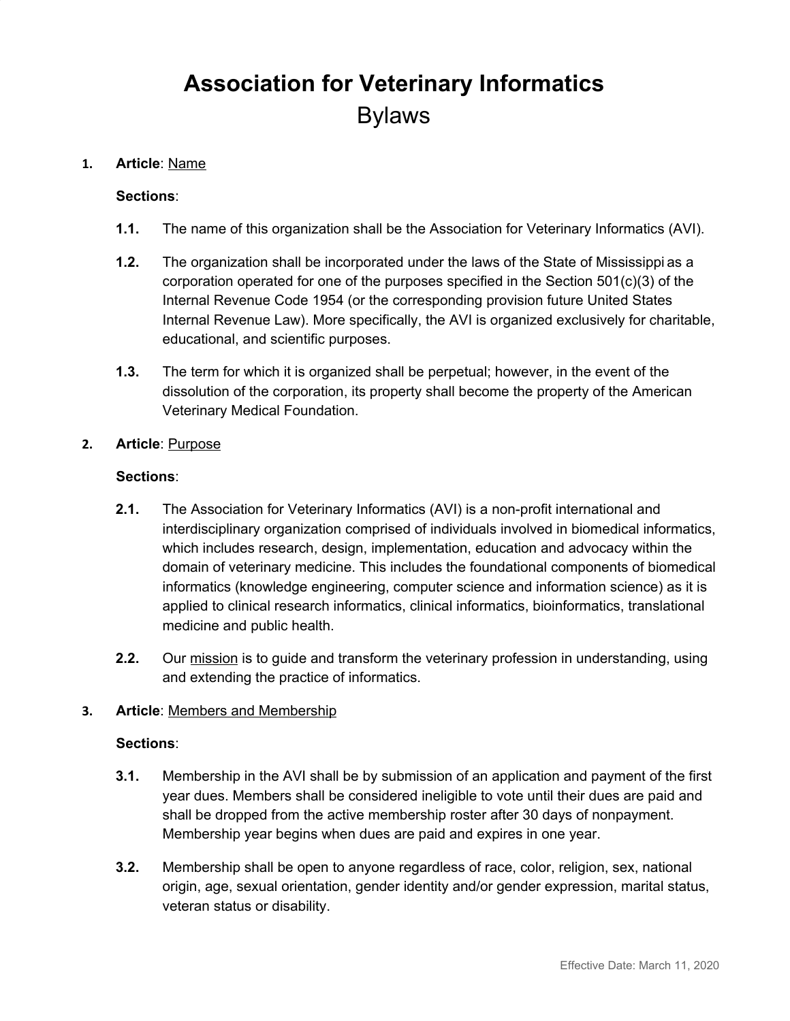# **Association for Veterinary Informatics** Bylaws

#### **1. Article**: Name

#### **Sections**:

- **1.1.** The name of this organization shall be the Association for Veterinary Informatics (AVI).
- **1.2.** The organization shall be incorporated under the laws of the State of Mississippi as a corporation operated for one of the purposes specified in the Section 501(c)(3) of the Internal Revenue Code 1954 (or the corresponding provision future United States Internal Revenue Law). More specifically, the AVI is organized exclusively for charitable, educational, and scientific purposes.
- **1.3.** The term for which it is organized shall be perpetual; however, in the event of the dissolution of the corporation, its property shall become the property of the American Veterinary Medical Foundation.

#### **2. Article**: Purpose

#### **Sections**:

- **2.1.** The Association for Veterinary Informatics (AVI) is a non-profit international and interdisciplinary organization comprised of individuals involved in biomedical informatics, which includes research, design, implementation, education and advocacy within the domain of veterinary medicine. This includes the foundational components of biomedical informatics (knowledge engineering, computer science and information science) as it is applied to clinical research informatics, clinical informatics, bioinformatics, translational medicine and public health.
- **2.2.** Our mission is to guide and transform the veterinary profession in understanding, using and extending the practice of informatics.

#### **3. Article**: Members and Membership

- **3.1.** Membership in the AVI shall be by submission of an application and payment of the first year dues. Members shall be considered ineligible to vote until their dues are paid and shall be dropped from the active membership roster after 30 days of nonpayment. Membership year begins when dues are paid and expires in one year.
- **3.2.** Membership shall be open to anyone regardless of race, color, religion, sex, national origin, age, sexual orientation, gender identity and/or gender expression, marital status, veteran status or disability.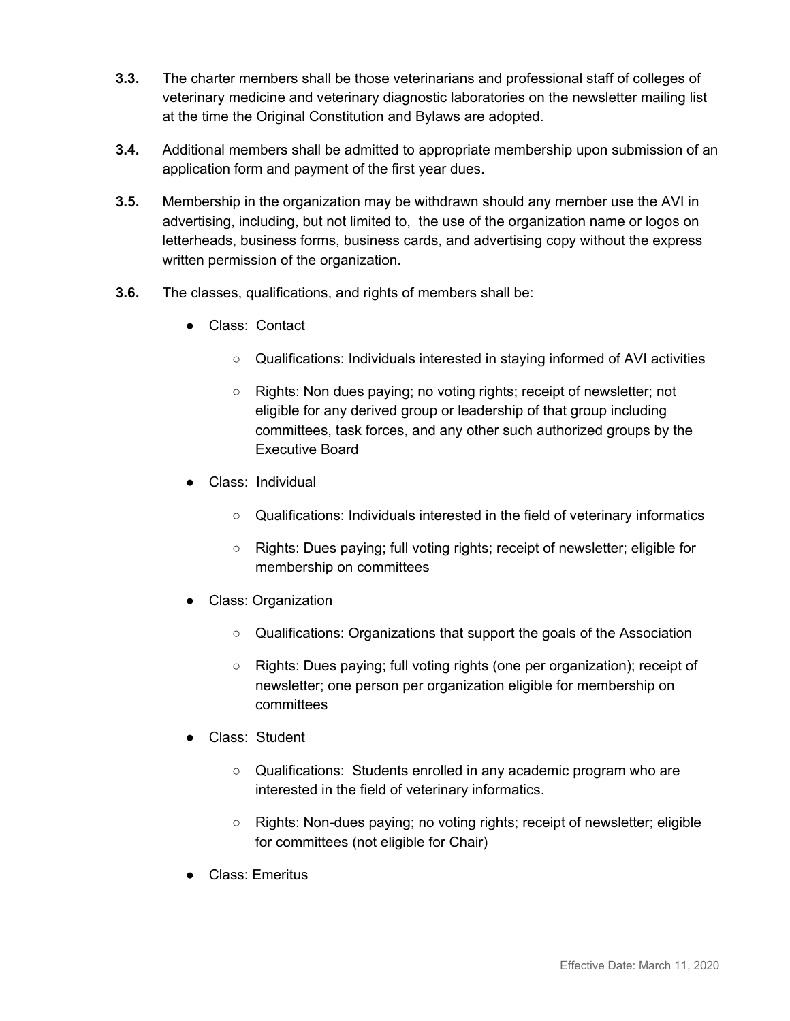- **3.3.** The charter members shall be those veterinarians and professional staff of colleges of veterinary medicine and veterinary diagnostic laboratories on the newsletter mailing list at the time the Original Constitution and Bylaws are adopted.
- **3.4.** Additional members shall be admitted to appropriate membership upon submission of an application form and payment of the first year dues.
- **3.5.** Membership in the organization may be withdrawn should any member use the AVI in advertising, including, but not limited to, the use of the organization name or logos on letterheads, business forms, business cards, and advertising copy without the express written permission of the organization.
- **3.6.** The classes, qualifications, and rights of members shall be:
	- Class: Contact
		- Qualifications: Individuals interested in staying informed of AVI activities
		- Rights: Non dues paying; no voting rights; receipt of newsletter; not eligible for any derived group or leadership of that group including committees, task forces, and any other such authorized groups by the Executive Board
	- Class: Individual
		- Qualifications: Individuals interested in the field of veterinary informatics
		- Rights: Dues paying; full voting rights; receipt of newsletter; eligible for membership on committees
	- Class: Organization
		- Qualifications: Organizations that support the goals of the Association
		- Rights: Dues paying; full voting rights (one per organization); receipt of newsletter; one person per organization eligible for membership on committees
	- Class: Student
		- Qualifications: Students enrolled in any academic program who are interested in the field of veterinary informatics.
		- Rights: Non-dues paying; no voting rights; receipt of newsletter; eligible for committees (not eligible for Chair)
	- Class: Emeritus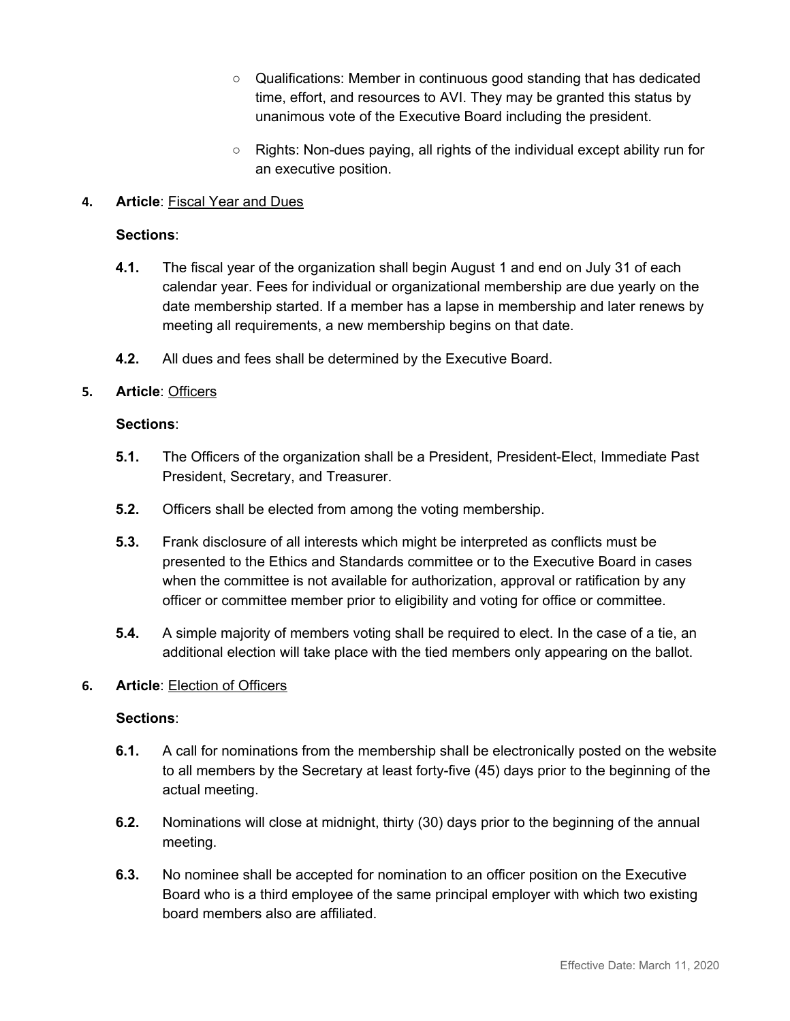- Qualifications: Member in continuous good standing that has dedicated time, effort, and resources to AVI. They may be granted this status by unanimous vote of the Executive Board including the president.
- Rights: Non-dues paying, all rights of the individual except ability run for an executive position.

# **4. Article**: Fiscal Year and Dues

#### **Sections**:

- **4.1.** The fiscal year of the organization shall begin August 1 and end on July 31 of each calendar year. Fees for individual or organizational membership are due yearly on the date membership started. If a member has a lapse in membership and later renews by meeting all requirements, a new membership begins on that date.
- **4.2.** All dues and fees shall be determined by the Executive Board.

# **5. Article**: Officers

#### **Sections**:

- **5.1.** The Officers of the organization shall be a President, President-Elect, Immediate Past President, Secretary, and Treasurer.
- **5.2.** Officers shall be elected from among the voting membership.
- **5.3.** Frank disclosure of all interests which might be interpreted as conflicts must be presented to the Ethics and Standards committee or to the Executive Board in cases when the committee is not available for authorization, approval or ratification by any officer or committee member prior to eligibility and voting for office or committee.
- **5.4.** A simple majority of members voting shall be required to elect. In the case of a tie, an additional election will take place with the tied members only appearing on the ballot.

#### **6. Article**: Election of Officers

- **6.1.** A call for nominations from the membership shall be electronically posted on the website to all members by the Secretary at least forty-five (45) days prior to the beginning of the actual meeting.
- **6.2.** Nominations will close at midnight, thirty (30) days prior to the beginning of the annual meeting.
- **6.3.** No nominee shall be accepted for nomination to an officer position on the Executive Board who is a third employee of the same principal employer with which two existing board members also are affiliated.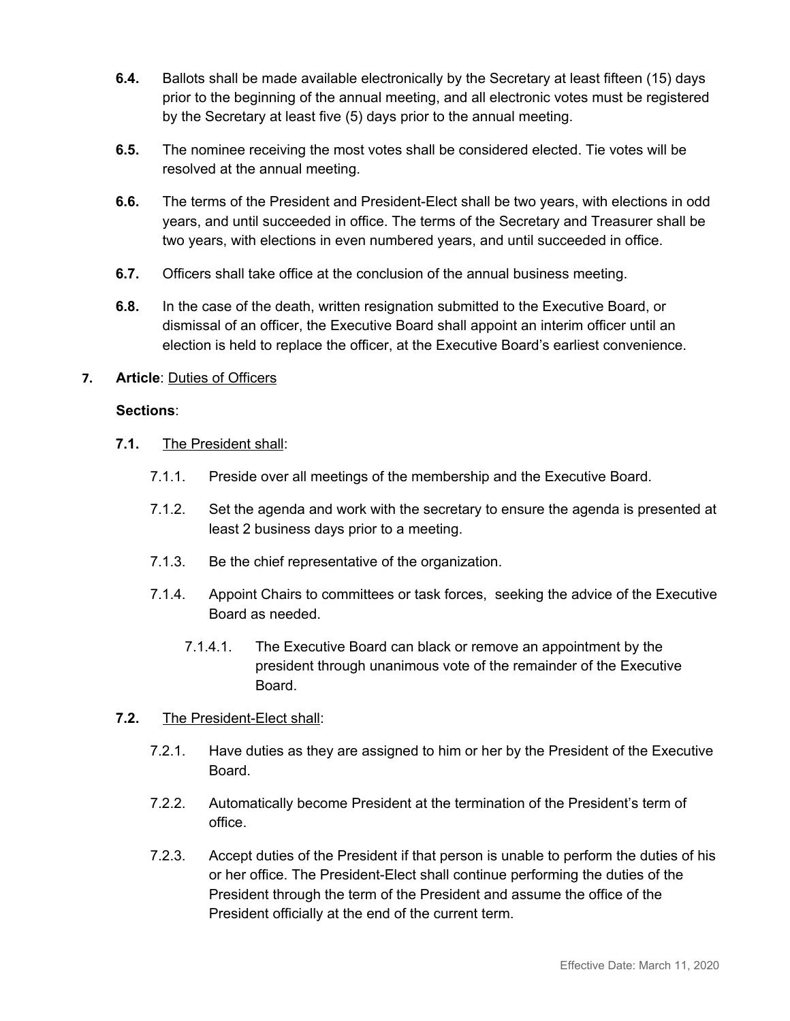- **6.4.** Ballots shall be made available electronically by the Secretary at least fifteen (15) days prior to the beginning of the annual meeting, and all electronic votes must be registered by the Secretary at least five (5) days prior to the annual meeting.
- **6.5.** The nominee receiving the most votes shall be considered elected. Tie votes will be resolved at the annual meeting.
- **6.6.** The terms of the President and President-Elect shall be two years, with elections in odd years, and until succeeded in office. The terms of the Secretary and Treasurer shall be two years, with elections in even numbered years, and until succeeded in office.
- **6.7.** Officers shall take office at the conclusion of the annual business meeting.
- **6.8.** In the case of the death, written resignation submitted to the Executive Board, or dismissal of an officer, the Executive Board shall appoint an interim officer until an election is held to replace the officer, at the Executive Board's earliest convenience.

# **7. Article**: Duties of Officers

#### **Sections**:

- **7.1.** The President shall:
	- 7.1.1. Preside over all meetings of the membership and the Executive Board.
	- 7.1.2. Set the agenda and work with the secretary to ensure the agenda is presented at least 2 business days prior to a meeting.
	- 7.1.3. Be the chief representative of the organization.
	- 7.1.4. Appoint Chairs to committees or task forces, seeking the advice of the Executive Board as needed.
		- 7.1.4.1. The Executive Board can black or remove an appointment by the president through unanimous vote of the remainder of the Executive Board.

#### **7.2.** The President-Elect shall:

- 7.2.1. Have duties as they are assigned to him or her by the President of the Executive Board.
- 7.2.2. Automatically become President at the termination of the President's term of office.
- 7.2.3. Accept duties of the President if that person is unable to perform the duties of his or her office. The President-Elect shall continue performing the duties of the President through the term of the President and assume the office of the President officially at the end of the current term.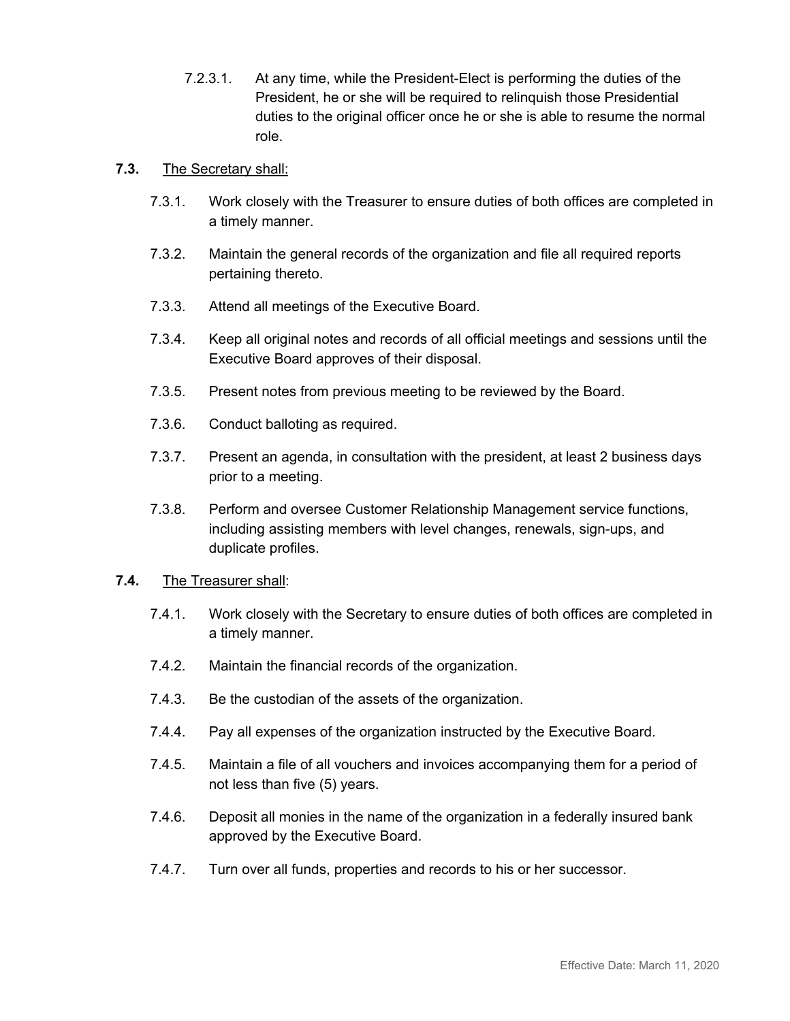7.2.3.1. At any time, while the President-Elect is performing the duties of the President, he or she will be required to relinquish those Presidential duties to the original officer once he or she is able to resume the normal role.

#### **7.3.** The Secretary shall:

- 7.3.1. Work closely with the Treasurer to ensure duties of both offices are completed in a timely manner.
- 7.3.2. Maintain the general records of the organization and file all required reports pertaining thereto.
- 7.3.3. Attend all meetings of the Executive Board.
- 7.3.4. Keep all original notes and records of all official meetings and sessions until the Executive Board approves of their disposal.
- 7.3.5. Present notes from previous meeting to be reviewed by the Board.
- 7.3.6. Conduct balloting as required.
- 7.3.7. Present an agenda, in consultation with the president, at least 2 business days prior to a meeting.
- 7.3.8. Perform and oversee Customer Relationship Management service functions, including assisting members with level changes, renewals, sign-ups, and duplicate profiles.
- **7.4.** The Treasurer shall:
	- 7.4.1. Work closely with the Secretary to ensure duties of both offices are completed in a timely manner.
	- 7.4.2. Maintain the financial records of the organization.
	- 7.4.3. Be the custodian of the assets of the organization.
	- 7.4.4. Pay all expenses of the organization instructed by the Executive Board.
	- 7.4.5. Maintain a file of all vouchers and invoices accompanying them for a period of not less than five (5) years.
	- 7.4.6. Deposit all monies in the name of the organization in a federally insured bank approved by the Executive Board.
	- 7.4.7. Turn over all funds, properties and records to his or her successor.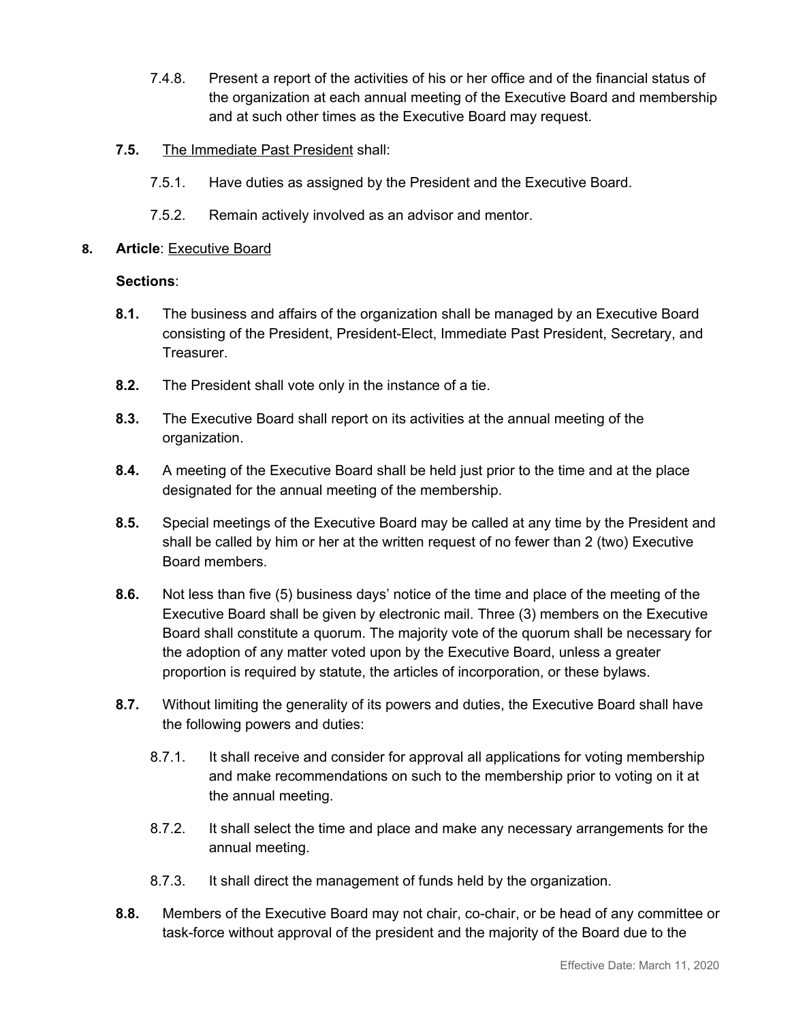- 7.4.8. Present a report of the activities of his or her office and of the financial status of the organization at each annual meeting of the Executive Board and membership and at such other times as the Executive Board may request.
- **7.5.** The Immediate Past President shall:
	- 7.5.1. Have duties as assigned by the President and the Executive Board.
	- 7.5.2. Remain actively involved as an advisor and mentor.
- **8. Article**: Executive Board

- **8.1.** The business and affairs of the organization shall be managed by an Executive Board consisting of the President, President-Elect, Immediate Past President, Secretary, and Treasurer.
- **8.2.** The President shall vote only in the instance of a tie.
- **8.3.** The Executive Board shall report on its activities at the annual meeting of the organization.
- **8.4.** A meeting of the Executive Board shall be held just prior to the time and at the place designated for the annual meeting of the membership.
- **8.5.** Special meetings of the Executive Board may be called at any time by the President and shall be called by him or her at the written request of no fewer than 2 (two) Executive Board members.
- **8.6.** Not less than five (5) business days' notice of the time and place of the meeting of the Executive Board shall be given by electronic mail. Three (3) members on the Executive Board shall constitute a quorum. The majority vote of the quorum shall be necessary for the adoption of any matter voted upon by the Executive Board, unless a greater proportion is required by statute, the articles of incorporation, or these bylaws.
- **8.7.** Without limiting the generality of its powers and duties, the Executive Board shall have the following powers and duties:
	- 8.7.1. It shall receive and consider for approval all applications for voting membership and make recommendations on such to the membership prior to voting on it at the annual meeting.
	- 8.7.2. It shall select the time and place and make any necessary arrangements for the annual meeting.
	- 8.7.3. It shall direct the management of funds held by the organization.
- **8.8.** Members of the Executive Board may not chair, co-chair, or be head of any committee or task-force without approval of the president and the majority of the Board due to the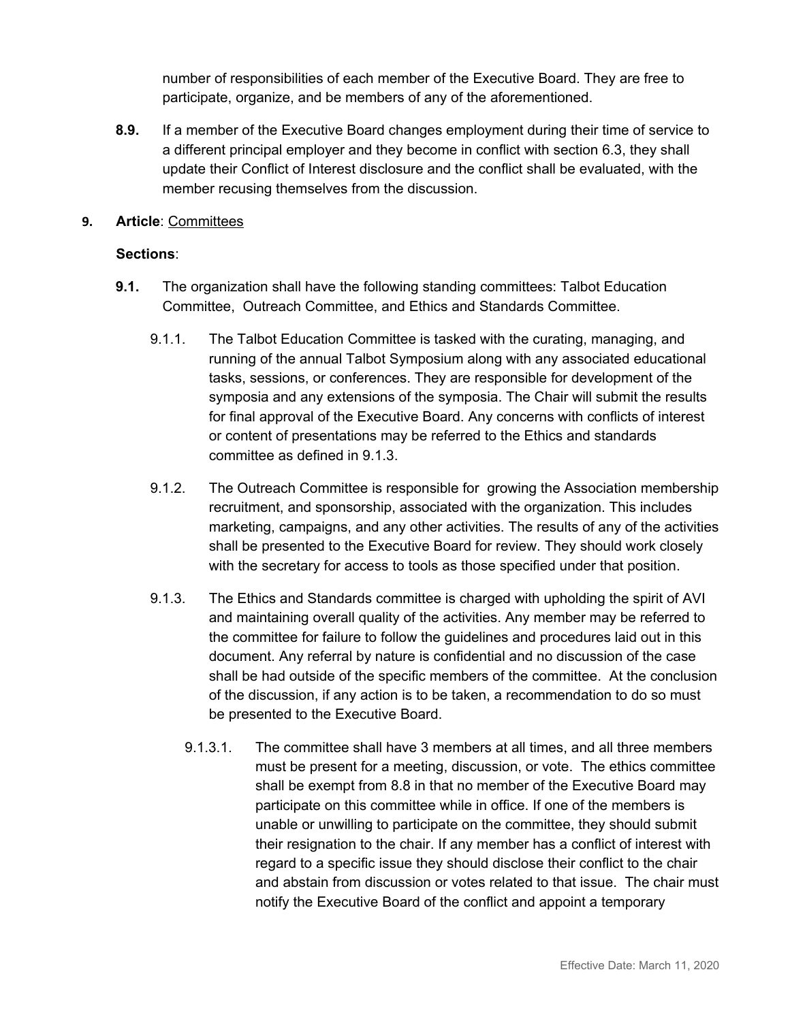number of responsibilities of each member of the Executive Board. They are free to participate, organize, and be members of any of the aforementioned.

- **8.9.** If a member of the Executive Board changes employment during their time of service to a different principal employer and they become in conflict with section 6.3, they shall update their Conflict of Interest disclosure and the conflict shall be evaluated, with the member recusing themselves from the discussion.
- **9. Article**: Committees

- **9.1.** The organization shall have the following standing committees: Talbot Education Committee, Outreach Committee, and Ethics and Standards Committee.
	- 9.1.1. The Talbot Education Committee is tasked with the curating, managing, and running of the annual Talbot Symposium along with any associated educational tasks, sessions, or conferences. They are responsible for development of the symposia and any extensions of the symposia. The Chair will submit the results for final approval of the Executive Board. Any concerns with conflicts of interest or content of presentations may be referred to the Ethics and standards committee as defined in 9.1.3.
	- 9.1.2. The Outreach Committee is responsible for growing the Association membership recruitment, and sponsorship, associated with the organization. This includes marketing, campaigns, and any other activities. The results of any of the activities shall be presented to the Executive Board for review. They should work closely with the secretary for access to tools as those specified under that position.
	- 9.1.3. The Ethics and Standards committee is charged with upholding the spirit of AVI and maintaining overall quality of the activities. Any member may be referred to the committee for failure to follow the guidelines and procedures laid out in this document. Any referral by nature is confidential and no discussion of the case shall be had outside of the specific members of the committee. At the conclusion of the discussion, if any action is to be taken, a recommendation to do so must be presented to the Executive Board.
		- 9.1.3.1. The committee shall have 3 members at all times, and all three members must be present for a meeting, discussion, or vote. The ethics committee shall be exempt from 8.8 in that no member of the Executive Board may participate on this committee while in office. If one of the members is unable or unwilling to participate on the committee, they should submit their resignation to the chair. If any member has a conflict of interest with regard to a specific issue they should disclose their conflict to the chair and abstain from discussion or votes related to that issue. The chair must notify the Executive Board of the conflict and appoint a temporary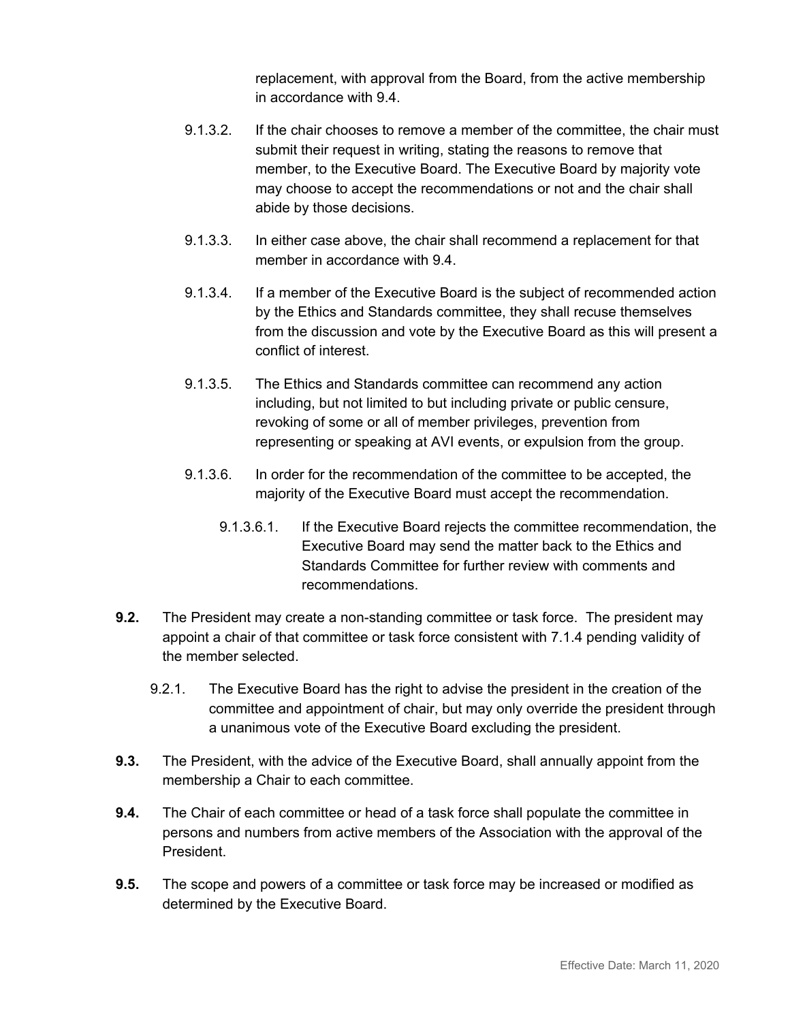replacement, with approval from the Board, from the active membership in accordance with 9.4.

- 9.1.3.2. If the chair chooses to remove a member of the committee, the chair must submit their request in writing, stating the reasons to remove that member, to the Executive Board. The Executive Board by majority vote may choose to accept the recommendations or not and the chair shall abide by those decisions.
- 9.1.3.3. In either case above, the chair shall recommend a replacement for that member in accordance with 9.4.
- 9.1.3.4. If a member of the Executive Board is the subject of recommended action by the Ethics and Standards committee, they shall recuse themselves from the discussion and vote by the Executive Board as this will present a conflict of interest.
- 9.1.3.5. The Ethics and Standards committee can recommend any action including, but not limited to but including private or public censure, revoking of some or all of member privileges, prevention from representing or speaking at AVI events, or expulsion from the group.
- 9.1.3.6. In order for the recommendation of the committee to be accepted, the majority of the Executive Board must accept the recommendation.
	- 9.1.3.6.1. If the Executive Board rejects the committee recommendation, the Executive Board may send the matter back to the Ethics and Standards Committee for further review with comments and recommendations.
- **9.2.** The President may create a non-standing committee or task force. The president may appoint a chair of that committee or task force consistent with 7.1.4 pending validity of the member selected.
	- 9.2.1. The Executive Board has the right to advise the president in the creation of the committee and appointment of chair, but may only override the president through a unanimous vote of the Executive Board excluding the president.
- **9.3.** The President, with the advice of the Executive Board, shall annually appoint from the membership a Chair to each committee.
- **9.4.** The Chair of each committee or head of a task force shall populate the committee in persons and numbers from active members of the Association with the approval of the President.
- **9.5.** The scope and powers of a committee or task force may be increased or modified as determined by the Executive Board.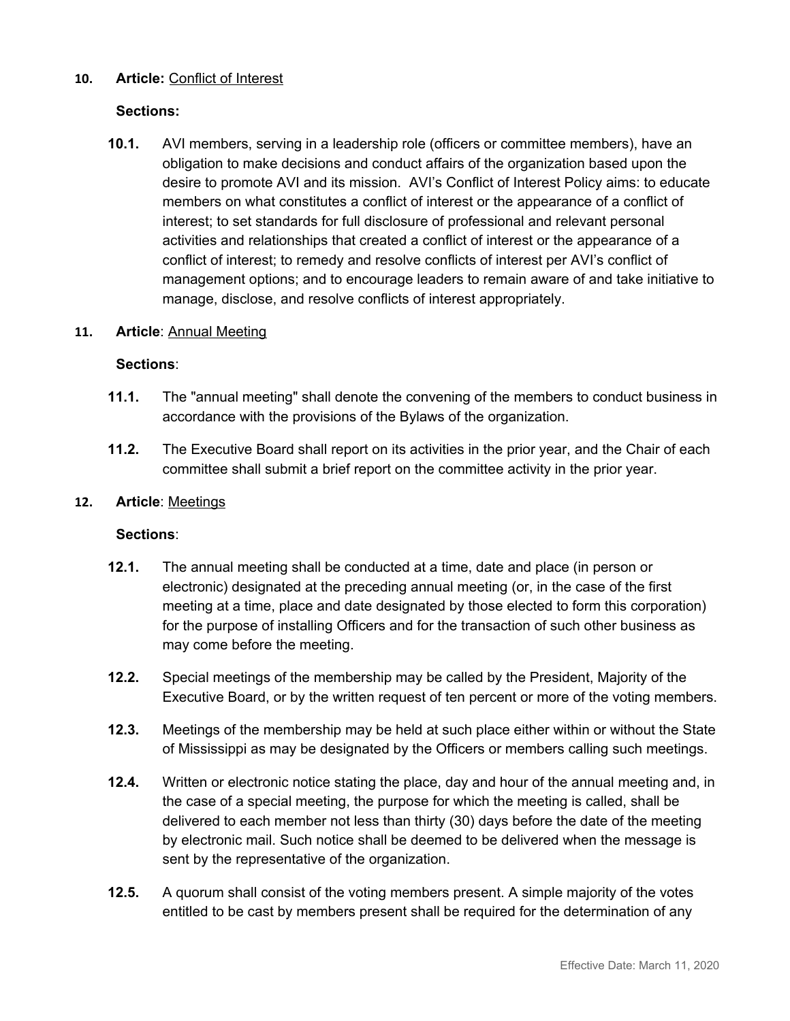# **10. Article:** Conflict of Interest

# **Sections:**

**10.1.** AVI members, serving in a leadership role (officers or committee members), have an obligation to make decisions and conduct affairs of the organization based upon the desire to promote AVI and its mission. AVI's Conflict of Interest Policy aims: to educate members on what constitutes a conflict of interest or the appearance of a conflict of interest; to set standards for full disclosure of professional and relevant personal activities and relationships that created a conflict of interest or the appearance of a conflict of interest; to remedy and resolve conflicts of interest per AVI's conflict of management options; and to encourage leaders to remain aware of and take initiative to manage, disclose, and resolve conflicts of interest appropriately.

#### **11. Article**: Annual Meeting

#### **Sections**:

- **11.1.** The "annual meeting" shall denote the convening of the members to conduct business in accordance with the provisions of the Bylaws of the organization.
- **11.2.** The Executive Board shall report on its activities in the prior year, and the Chair of each committee shall submit a brief report on the committee activity in the prior year.

#### **12. Article**: Meetings

- **12.1.** The annual meeting shall be conducted at a time, date and place (in person or electronic) designated at the preceding annual meeting (or, in the case of the first meeting at a time, place and date designated by those elected to form this corporation) for the purpose of installing Officers and for the transaction of such other business as may come before the meeting.
- **12.2.** Special meetings of the membership may be called by the President, Majority of the Executive Board, or by the written request of ten percent or more of the voting members.
- **12.3.** Meetings of the membership may be held at such place either within or without the State of Mississippi as may be designated by the Officers or members calling such meetings.
- **12.4.** Written or electronic notice stating the place, day and hour of the annual meeting and, in the case of a special meeting, the purpose for which the meeting is called, shall be delivered to each member not less than thirty (30) days before the date of the meeting by electronic mail. Such notice shall be deemed to be delivered when the message is sent by the representative of the organization.
- **12.5.** A quorum shall consist of the voting members present. A simple majority of the votes entitled to be cast by members present shall be required for the determination of any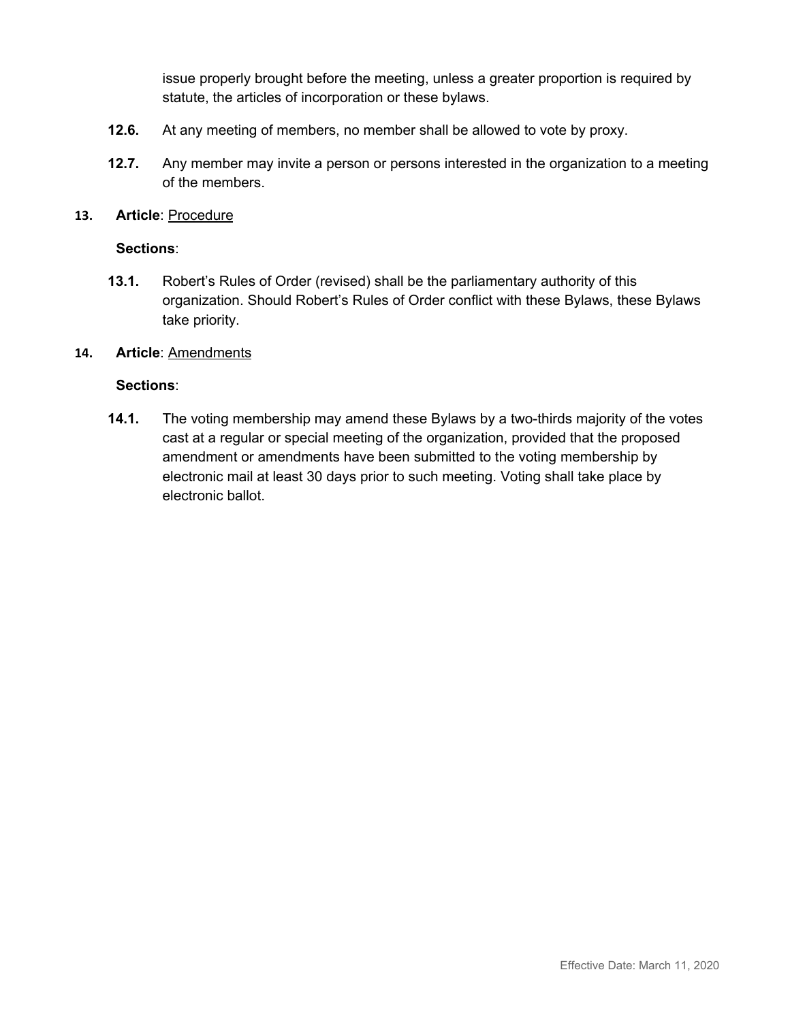issue properly brought before the meeting, unless a greater proportion is required by statute, the articles of incorporation or these bylaws.

- **12.6.** At any meeting of members, no member shall be allowed to vote by proxy.
- **12.7.** Any member may invite a person or persons interested in the organization to a meeting of the members.
- **13. Article**: Procedure

# **Sections**:

**13.1.** Robert's Rules of Order (revised) shall be the parliamentary authority of this organization. Should Robert's Rules of Order conflict with these Bylaws, these Bylaws take priority.

#### **14. Article**: Amendments

# **Sections**:

**14.1.** The voting membership may amend these Bylaws by a two-thirds majority of the votes cast at a regular or special meeting of the organization, provided that the proposed amendment or amendments have been submitted to the voting membership by electronic mail at least 30 days prior to such meeting. Voting shall take place by electronic ballot.